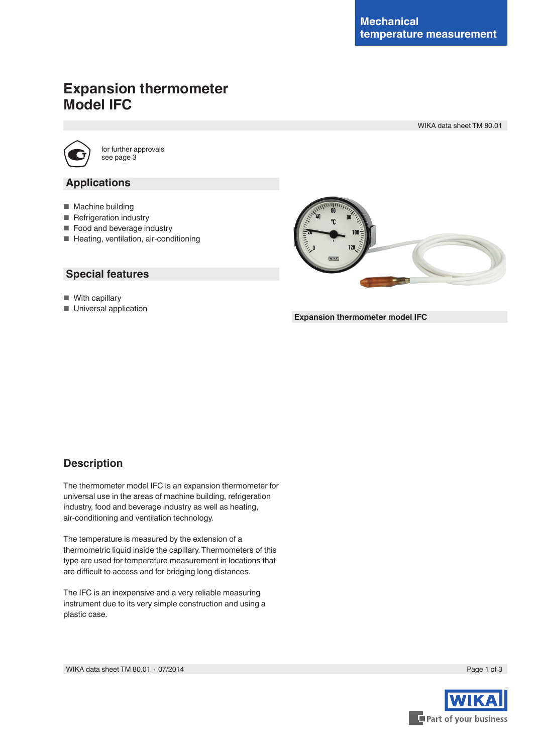# **Expansion thermometer Model IFC**

WIKA data sheet TM 80.01



for further approvals see page 3

### **Applications**

- Machine building
- Refrigeration industry
- Food and beverage industry
- Heating, ventilation, air-conditioning

### **Special features**

- With capillary
- Universal application



**Expansion thermometer model IFC**

# **Description**

The thermometer model IFC is an expansion thermometer for universal use in the areas of machine building, refrigeration industry, food and beverage industry as well as heating, air-conditioning and ventilation technology.

The temperature is measured by the extension of a thermometric liquid inside the capillary. Thermometers of this type are used for temperature measurement in locations that are difficult to access and for bridging long distances.

The IFC is an inexpensive and a very reliable measuring instrument due to its very simple construction and using a plastic case.

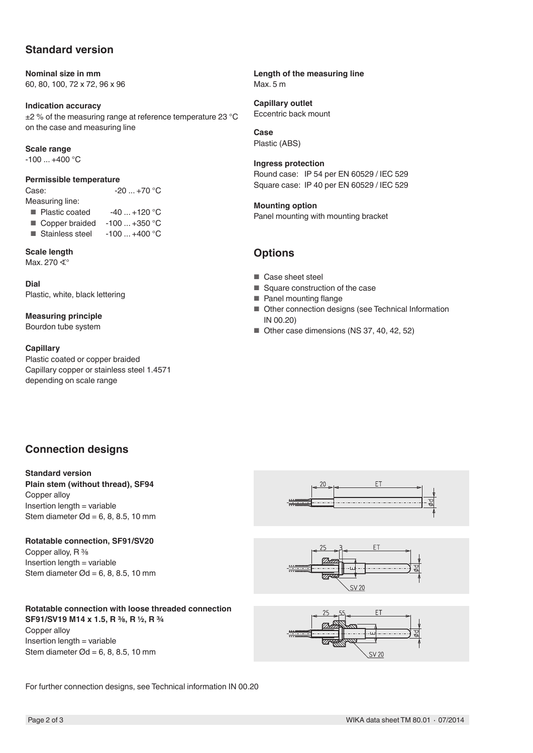# **Standard version**

**Nominal size in mm** 60, 80, 100, 72 x 72, 96 x 96

**Indication accuracy**  $\pm$ 2 % of the measuring range at reference temperature 23 °C on the case and measuring line

#### **Scale range**

-100 ... +400 °C

#### **Permissible temperature**

Case: -20 ... +70 °C

- Measuring line:
- Plastic coated  $-40...+120$  °C
- Copper braided  $-100...+350$  °C<br>■ Stainless steel  $-100...+400$  °C
- Stainless steel

### **Scale length**

Max. 270 ∢°

**Dial** Plastic, white, black lettering

**Measuring principle**

Bourdon tube system

#### **Capillary**

Plastic coated or copper braided Capillary copper or stainless steel 1.4571 depending on scale range

**Length of the measuring line** Max. 5 m

**Capillary outlet** Eccentric back mount

**Case** Plastic (ABS)

**Ingress protection** Round case: IP 54 per EN 60529 / IEC 529 Square case: IP 40 per EN 60529 / IEC 529

#### **Mounting option**

Panel mounting with mounting bracket

### **Options**

- Case sheet steel
- Square construction of the case
- Panel mounting flange
- Other connection designs (see Technical Information IN 00.20)
- Other case dimensions (NS 37, 40, 42, 52)

# **Connection designs**

#### **Standard version**

**Plain stem (without thread), SF94** Copper alloy Insertion length = variable Stem diameter  $\varnothing$ d = 6, 8, 8, 5, 10 mm

### **Rotatable connection, SF91/SV20**

Copper alloy, R % Insertion length = variable Stem diameter  $\varnothing$ d = 6, 8, 8, 5, 10 mm

### **Rotatable connection with loose threaded connection**

**SF91/SV19 M14 x 1.5, R ⅜, R ½, R ¾** Copper alloy Insertion length = variable Stem diameter  $\varnothing$ d = 6, 8, 8, 5, 10 mm







For further connection designs, see Technical information IN 00.20